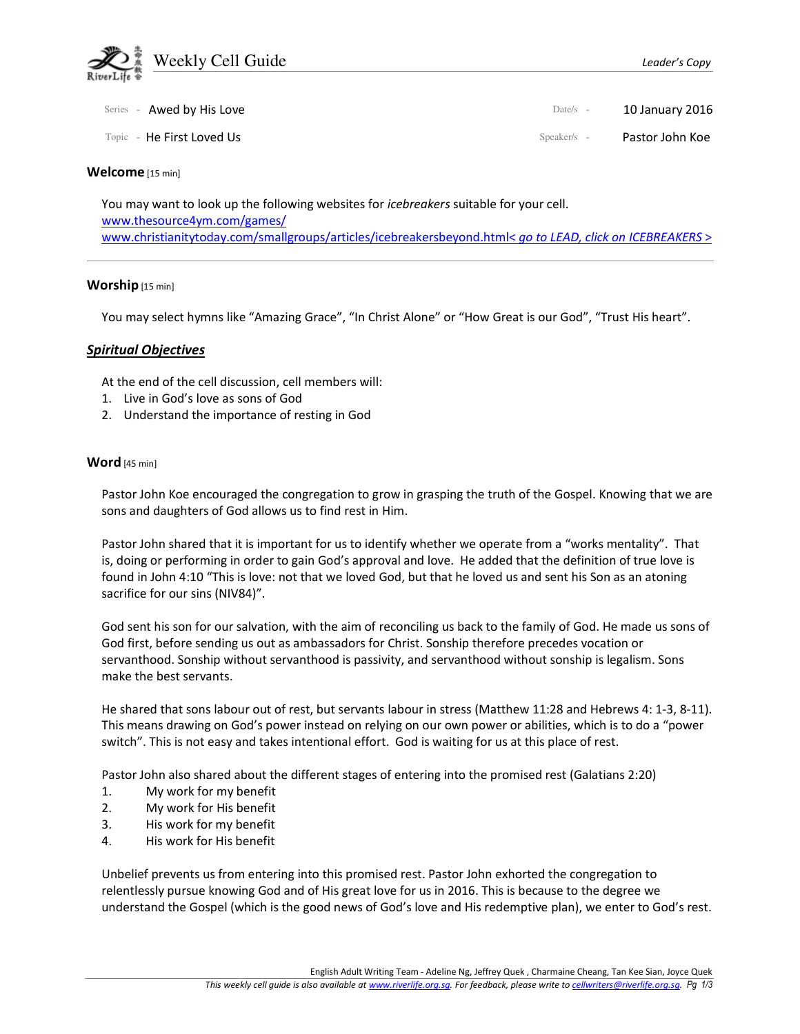

| Series - Awed by His Love | Date/s $-$    | 10 January 2016 |
|---------------------------|---------------|-----------------|
| Topic - He First Loved Us | $Speaker/s -$ | Pastor John Koe |

#### Welcome [15 min]

You may want to look up the following websites for *icebreakers* suitable for your cell. www.thesource4ym.com/games/ www.christianitytoday.com/smallgroups/articles/icebreakersbeyond.html< go to LEAD, click on ICEBREAKERS >

#### Worship [15 min]

You may select hymns like "Amazing Grace", "In Christ Alone" or "How Great is our God", "Trust His heart".

## Spiritual Objectives

At the end of the cell discussion, cell members will:

- 1. Live in God's love as sons of God
- 2. Understand the importance of resting in God

## Word [45 min]

Pastor John Koe encouraged the congregation to grow in grasping the truth of the Gospel. Knowing that we are sons and daughters of God allows us to find rest in Him.

Pastor John shared that it is important for us to identify whether we operate from a "works mentality". That is, doing or performing in order to gain God's approval and love. He added that the definition of true love is found in John 4:10 "This is love: not that we loved God, but that he loved us and sent his Son as an atoning sacrifice for our sins (NIV84)".

God sent his son for our salvation, with the aim of reconciling us back to the family of God. He made us sons of God first, before sending us out as ambassadors for Christ. Sonship therefore precedes vocation or servanthood. Sonship without servanthood is passivity, and servanthood without sonship is legalism. Sons make the best servants.

He shared that sons labour out of rest, but servants labour in stress (Matthew 11:28 and Hebrews 4: 1-3, 8-11). This means drawing on God's power instead on relying on our own power or abilities, which is to do a "power switch". This is not easy and takes intentional effort. God is waiting for us at this place of rest.

Pastor John also shared about the different stages of entering into the promised rest (Galatians 2:20)

- 1. My work for my benefit
- 2. My work for His benefit
- 3. His work for my benefit
- 4. His work for His benefit

Unbelief prevents us from entering into this promised rest. Pastor John exhorted the congregation to relentlessly pursue knowing God and of His great love for us in 2016. This is because to the degree we understand the Gospel (which is the good news of God's love and His redemptive plan), we enter to God's rest.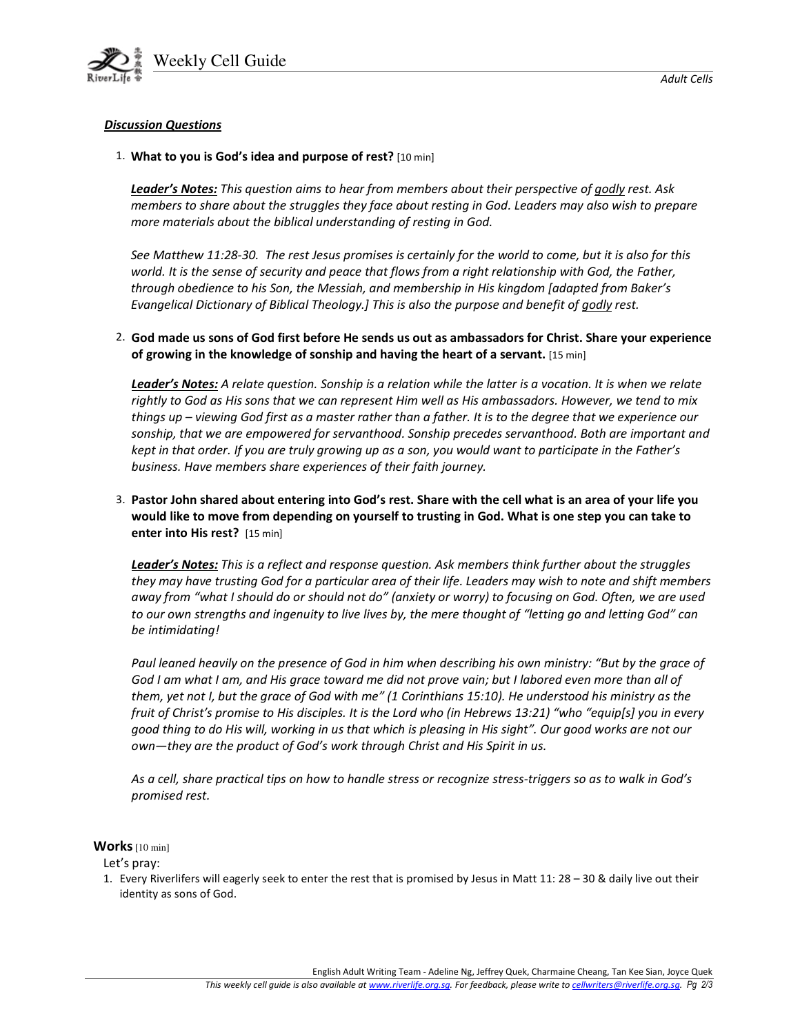

## Discussion Questions

#### 1. What to you is God's idea and purpose of rest? [10 min]

Leader's Notes: This question aims to hear from members about their perspective of godly rest. Ask members to share about the struggles they face about resting in God. Leaders may also wish to prepare more materials about the biblical understanding of resting in God.

See Matthew 11:28-30. The rest Jesus promises is certainly for the world to come, but it is also for this world. It is the sense of security and peace that flows from a right relationship with God, the Father, through obedience to his Son, the Messiah, and membership in His kingdom [adapted from Baker's Evangelical Dictionary of Biblical Theology.] This is also the purpose and benefit of godly rest.

2. God made us sons of God first before He sends us out as ambassadors for Christ. Share your experience of growing in the knowledge of sonship and having the heart of a servant. [15 min]

Leader's Notes: A relate question. Sonship is a relation while the latter is a vocation. It is when we relate rightly to God as His sons that we can represent Him well as His ambassadors. However, we tend to mix things up – viewing God first as a master rather than a father. It is to the degree that we experience our sonship, that we are empowered for servanthood. Sonship precedes servanthood. Both are important and kept in that order. If you are truly growing up as a son, you would want to participate in the Father's business. Have members share experiences of their faith journey.

3. Pastor John shared about entering into God's rest. Share with the cell what is an area of your life you would like to move from depending on yourself to trusting in God. What is one step you can take to enter into His rest? [15 min]

Leader's Notes: This is a reflect and response question. Ask members think further about the struggles they may have trusting God for a particular area of their life. Leaders may wish to note and shift members away from "what I should do or should not do" (anxiety or worry) to focusing on God. Often, we are used to our own strengths and ingenuity to live lives by, the mere thought of "letting go and letting God" can be intimidating!

Paul leaned heavily on the presence of God in him when describing his own ministry: "But by the grace of God I am what I am, and His grace toward me did not prove vain; but I labored even more than all of them, yet not I, but the grace of God with me" (1 Corinthians 15:10). He understood his ministry as the fruit of Christ's promise to His disciples. It is the Lord who (in Hebrews 13:21) "who "equip[s] you in every good thing to do His will, working in us that which is pleasing in His sight". Our good works are not our own—they are the product of God's work through Christ and His Spirit in us.

As a cell, share practical tips on how to handle stress or recognize stress-triggers so as to walk in God's promised rest.

#### Works [10 min]

Let's pray:

1. Every Riverlifers will eagerly seek to enter the rest that is promised by Jesus in Matt 11: 28 – 30 & daily live out their identity as sons of God.